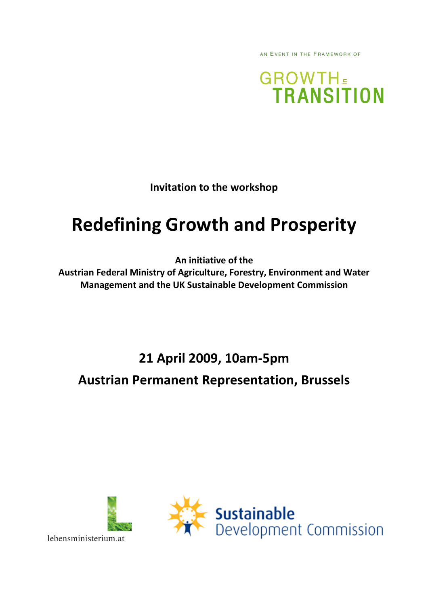AN EVENT IN THE FRAMEWORK OF

**GROWTH TRANSITION** 

**Invitation to the workshop** 

# **Redefining Growth and Prosperity**

**An initiative of the** 

**Austrian Federal Ministry of Agriculture, Forestry, Environment and Water Management and the UK Sustainable Development Commission** 

**21 April 2009, 10am-5pm** 

**Austrian Permanent Representation, Brussels** 



lebensministerium.at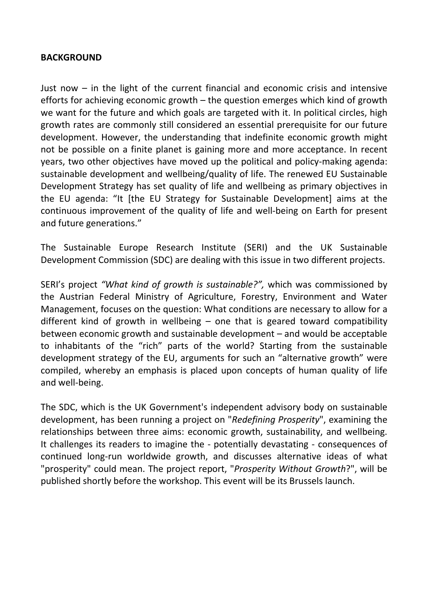#### **BACKGROUND**

Just now – in the light of the current financial and economic crisis and intensive efforts for achieving economic growth – the question emerges which kind of growth we want for the future and which goals are targeted with it. In political circles, high growth rates are commonly still considered an essential prerequisite for our future development. However, the understanding that indefinite economic growth might not be possible on a finite planet is gaining more and more acceptance. In recent years, two other objectives have moved up the political and policy-making agenda: sustainable development and wellbeing/quality of life. The renewed EU Sustainable Development Strategy has set quality of life and wellbeing as primary objectives in the EU agenda: "It [the EU Strategy for Sustainable Development] aims at the continuous improvement of the quality of life and well-being on Earth for present and future generations."

The Sustainable Europe Research Institute (SERI) and the UK Sustainable Development Commission (SDC) are dealing with this issue in two different projects.

SERI's project *"What kind of growth is sustainable?",* which was commissioned by the Austrian Federal Ministry of Agriculture, Forestry, Environment and Water Management, focuses on the question: What conditions are necessary to allow for a different kind of growth in wellbeing  $-$  one that is geared toward compatibility between economic growth and sustainable development – and would be acceptable to inhabitants of the "rich" parts of the world? Starting from the sustainable development strategy of the EU, arguments for such an "alternative growth" were compiled, whereby an emphasis is placed upon concepts of human quality of life and well-being.

The SDC, which is the UK Government's independent advisory body on sustainable development, has been running a project on "*Redefining Prosperity*", examining the relationships between three aims: economic growth, sustainability, and wellbeing. It challenges its readers to imagine the - potentially devastating - consequences of continued long-run worldwide growth, and discusses alternative ideas of what "prosperity" could mean. The project report, "*Prosperity Without Growth*?", will be published shortly before the workshop. This event will be its Brussels launch.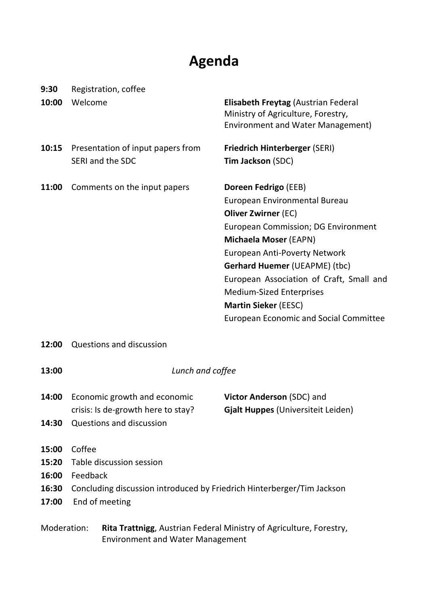## **Agenda**

| 9:30                                                                                                                          | Registration, coffee                                                                                                                       |                                                                                                                                                                                                                                                                                                                                                                                                           |
|-------------------------------------------------------------------------------------------------------------------------------|--------------------------------------------------------------------------------------------------------------------------------------------|-----------------------------------------------------------------------------------------------------------------------------------------------------------------------------------------------------------------------------------------------------------------------------------------------------------------------------------------------------------------------------------------------------------|
| 10:00                                                                                                                         | Welcome                                                                                                                                    | Elisabeth Freytag (Austrian Federal<br>Ministry of Agriculture, Forestry,<br><b>Environment and Water Management)</b>                                                                                                                                                                                                                                                                                     |
| 10:15                                                                                                                         | Presentation of input papers from<br>SERI and the SDC                                                                                      | <b>Friedrich Hinterberger (SERI)</b><br>Tim Jackson (SDC)                                                                                                                                                                                                                                                                                                                                                 |
| 11:00                                                                                                                         | Comments on the input papers                                                                                                               | Doreen Fedrigo (EEB)<br>European Environmental Bureau<br><b>Oliver Zwirner (EC)</b><br><b>European Commission; DG Environment</b><br>Michaela Moser (EAPN)<br><b>European Anti-Poverty Network</b><br><b>Gerhard Huemer (UEAPME) (tbc)</b><br>European Association of Craft, Small and<br><b>Medium-Sized Enterprises</b><br><b>Martin Sieker (EESC)</b><br><b>European Economic and Social Committee</b> |
| 12:00                                                                                                                         | <b>Questions and discussion</b>                                                                                                            |                                                                                                                                                                                                                                                                                                                                                                                                           |
| 13:00                                                                                                                         | Lunch and coffee                                                                                                                           |                                                                                                                                                                                                                                                                                                                                                                                                           |
| 14:00<br>14:30                                                                                                                | Economic growth and economic<br>crisis: Is de-growth here to stay?<br><b>Questions and discussion</b>                                      | Victor Anderson (SDC) and<br>Gjalt Huppes (Universiteit Leiden)                                                                                                                                                                                                                                                                                                                                           |
| 15:00<br>15:20<br>16:00<br>16:30<br>17:00                                                                                     | Coffee<br>Table discussion session<br>Feedback<br>Concluding discussion introduced by Friedrich Hinterberger/Tim Jackson<br>End of meeting |                                                                                                                                                                                                                                                                                                                                                                                                           |
| Moderation:<br>Rita Trattnigg, Austrian Federal Ministry of Agriculture, Forestry,<br><b>Environment and Water Management</b> |                                                                                                                                            |                                                                                                                                                                                                                                                                                                                                                                                                           |